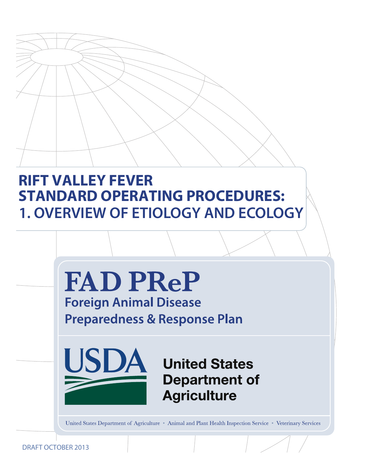# **RIFT VALLEY FEVER STANDARD OPERATING PROCEDURES: 1. OVERVIEW OF ETIOLOGY AND ECOLOGY**



DRAFT OCTOBER 2013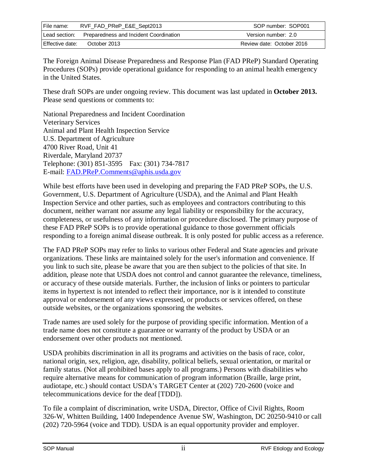| File name:      | RVF_FAD_PReP_E&E_Sept2013                            | SOP number: SOP001        |
|-----------------|------------------------------------------------------|---------------------------|
|                 | Lead section: Preparedness and Incident Coordination | Version number: 2.0       |
| Effective date: | October 2013                                         | Review date: October 2016 |

The Foreign Animal Disease Preparedness and Response Plan (FAD PReP) Standard Operating Procedures (SOPs) provide operational guidance for responding to an animal health emergency in the United States.

These draft SOPs are under ongoing review. This document was last updated in **October 2013.**  Please send questions or comments to:

National Preparedness and Incident Coordination Veterinary Services Animal and Plant Health Inspection Service U.S. Department of Agriculture 4700 River Road, Unit 41 Riverdale, Maryland 20737 Telephone: (301) 851-3595 Fax: (301) 734-7817 E-mail: [FAD.PReP.Comments@aphis.usda.gov](mailto:FAD.PReP.Comments@aphis.usda.gov)

While best efforts have been used in developing and preparing the FAD PReP SOPs, the U.S. Government, U.S. Department of Agriculture (USDA), and the Animal and Plant Health Inspection Service and other parties, such as employees and contractors contributing to this document, neither warrant nor assume any legal liability or responsibility for the accuracy, completeness, or usefulness of any information or procedure disclosed. The primary purpose of these FAD PReP SOPs is to provide operational guidance to those government officials responding to a foreign animal disease outbreak. It is only posted for public access as a reference.

The FAD PReP SOPs may refer to links to various other Federal and State agencies and private organizations. These links are maintained solely for the user's information and convenience. If you link to such site, please be aware that you are then subject to the policies of that site. In addition, please note that USDA does not control and cannot guarantee the relevance, timeliness, or accuracy of these outside materials. Further, the inclusion of links or pointers to particular items in hypertext is not intended to reflect their importance, nor is it intended to constitute approval or endorsement of any views expressed, or products or services offered, on these outside websites, or the organizations sponsoring the websites.

Trade names are used solely for the purpose of providing specific information. Mention of a trade name does not constitute a guarantee or warranty of the product by USDA or an endorsement over other products not mentioned.

USDA prohibits discrimination in all its programs and activities on the basis of race, color, national origin, sex, religion, age, disability, political beliefs, sexual orientation, or marital or family status. (Not all prohibited bases apply to all programs.) Persons with disabilities who require alternative means for communication of program information (Braille, large print, audiotape, etc.) should contact USDA's TARGET Center at (202) 720-2600 (voice and telecommunications device for the deaf [TDD]).

To file a complaint of discrimination, write USDA, Director, Office of Civil Rights, Room 326-W, Whitten Building, 1400 Independence Avenue SW, Washington, DC 20250-9410 or call (202) 720-5964 (voice and TDD). USDA is an equal opportunity provider and employer.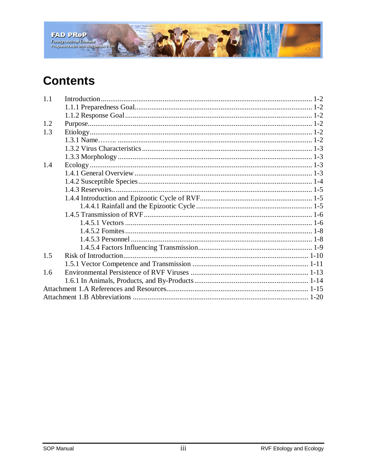

# **Contents**

| 1.1 |  |
|-----|--|
|     |  |
|     |  |
| 1.2 |  |
| 1.3 |  |
|     |  |
|     |  |
|     |  |
| 1.4 |  |
|     |  |
|     |  |
|     |  |
|     |  |
|     |  |
|     |  |
|     |  |
|     |  |
|     |  |
|     |  |
| 1.5 |  |
|     |  |
| 1.6 |  |
|     |  |
|     |  |
|     |  |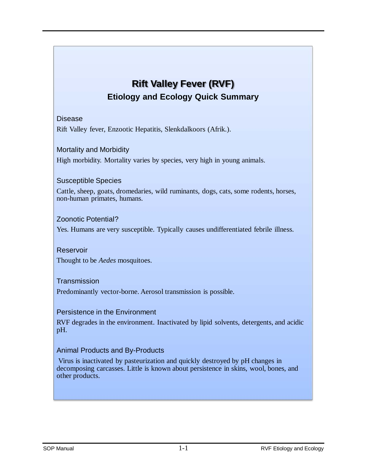# **Rift Valley Fever (RVF) Etiology and Ecology Quick Summary**

#### Disease

Rift Valley fever, Enzootic Hepatitis, Slenkdalkoors (Afrik.).

#### Mortality and Morbidity

High morbidity. Mortality varies by species, very high in young animals.

#### Susceptible Species

Cattle, sheep, goats, dromedaries, wild ruminants, dogs, cats, some rodents, horses, non-human primates, humans.

#### Zoonotic Potential?

Yes. Humans are very susceptible. Typically causes undifferentiated febrile illness.

#### Reservoir Thought to be *Aedes* mosquitoes.

#### **Transmission**

Predominantly vector-borne. Aerosol transmission is possible.

#### Persistence in the Environment

RVF degrades in the environment. Inactivated by lipid solvents, detergents, and acidic pH.

#### Animal Products and By-Products

Virus is inactivated by pasteurization and quickly destroyed by pH changes in decomposing carcasses. Little is known about persistence in skins, wool, bones, and other products.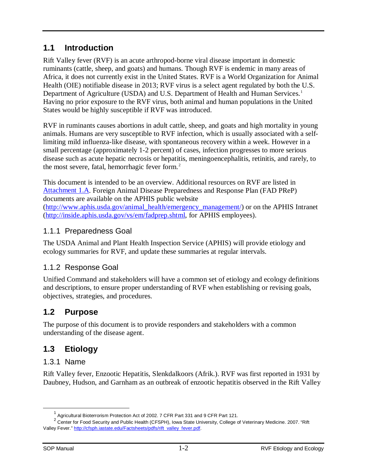# <span id="page-4-0"></span>**1.1 Introduction**

Rift Valley fever (RVF) is an acute arthropod-borne viral disease important in domestic ruminants (cattle, sheep, and goats) and humans. Though RVF is endemic in many areas of Africa, it does not currently exist in the United States. RVF is a World Organization for Animal Health (OIE) notifiable disease in 2013; RVF virus is a select agent regulated by both the U.S. Department of Agriculture (USDA) and U.S. Department of Health and Human Services.<sup>[1](#page-4-6)</sup> Having no prior exposure to the RVF virus, both animal and human populations in the United States would be highly susceptible if RVF was introduced.

RVF in ruminants causes abortions in adult cattle, sheep, and goats and high mortality in young animals. Humans are very susceptible to RVF infection, which is usually associated with a selflimiting mild influenza-like disease, with spontaneous recovery within a week. However in a small percentage (approximately 1-2 percent) of cases, infection progresses to more serious disease such as acute hepatic necrosis or hepatitis, meningoencephalitis, retinitis, and rarely, to the most severe, fatal, hemorrhagic fever form.<sup>[2](#page-4-7)</sup>

This document is intended to be an overview. Additional resources on RVF are listed in [Attachment 1.A.](#page-17-0) Foreign Animal Disease Preparedness and Response Plan (FAD PReP) documents are available on the APHIS public website [\(http://www.aphis.usda.gov/animal\\_health/emergency\\_management/\)](http://www.aphis.usda.gov/animal_health/emergency_management/) or on the APHIS Intranet [\(http://inside.aphis.usda.gov/vs/em/fadprep.shtml,](http://inside.aphis.usda.gov/vs/em/fadprep.shtml) for APHIS employees).

# <span id="page-4-1"></span>1.1.1 Preparedness Goal

The USDA Animal and Plant Health Inspection Service (APHIS) will provide etiology and ecology summaries for RVF, and update these summaries at regular intervals.

# <span id="page-4-2"></span>1.1.2 Response Goal

Unified Command and stakeholders will have a common set of etiology and ecology definitions and descriptions, to ensure proper understanding of RVF when establishing or revising goals, objectives, strategies, and procedures.

# <span id="page-4-3"></span>**1.2 Purpose**

The purpose of this document is to provide responders and stakeholders with a common understanding of the disease agent.

# <span id="page-4-4"></span>**1.3 Etiology**

# <span id="page-4-5"></span>1.3.1 Name

Rift Valley fever, Enzootic Hepatitis, Slenkdalkoors (Afrik.). RVF was first reported in 1931 by Daubney, Hudson, and Garnham as an outbreak of enzootic hepatitis observed in the Rift Valley

<sup>1</sup> Agricultural Bioterrorism Protection Act of 2002. 7 CFR Part 331 and 9 CFR Part 121.

<span id="page-4-7"></span><span id="page-4-6"></span><sup>2</sup> Center for Food Security and Public Health (CFSPH), Iowa State University, College of Veterinary Medicine. 2007. "Rift Valley Fever.[" http://cfsph.iastate.edu/Factsheets/pdfs/rift\\_valley\\_fever.pdf.](http://cfsph.iastate.edu/Factsheets/pdfs/rift_valley_fever.pdf)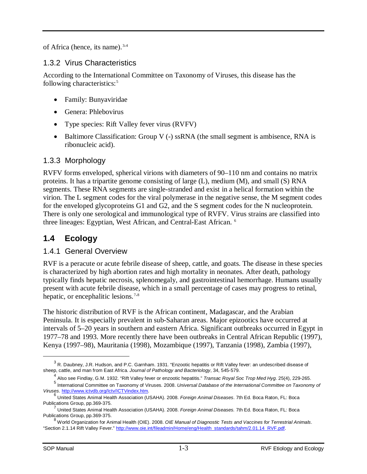of Africa (hence, its name).<sup>[3,](#page-5-4)[4](#page-5-5)</sup>

## <span id="page-5-0"></span>1.3.2 Virus Characteristics

According to the International Committee on Taxonomy of Viruses, this disease has the following characteristics:<sup>[5](#page-5-6)</sup>

- Family: Bunyaviridae
- Genera: Phlebovirus
- Type species: Rift Valley fever virus (RVFV)
- Baltimore Classification: Group V (-) ssRNA (the small segment is ambisence, RNA is ribonucleic acid).

## <span id="page-5-1"></span>1.3.3 Morphology

RVFV forms enveloped, spherical virions with diameters of 90–110 nm and contains no matrix proteins. It has a tripartite genome consisting of large (L), medium (M), and small (S) RNA segments. These RNA segments are single-stranded and exist in a helical formation within the virion. The L segment codes for the viral polymerase in the negative sense, the M segment codes for the enveloped glycoproteins G1 and G2, and the S segment codes for the N nucleoprotein. There is only one serological and immunological type of RVFV. Virus strains are classified into three lineages: Egyptian, West African, and Central-East African. [6](#page-5-7)

# <span id="page-5-2"></span>**1.4 Ecology**

#### <span id="page-5-3"></span>1.4.1 General Overview

RVF is a peracute or acute febrile disease of sheep, cattle, and goats. The disease in these species is characterized by high abortion rates and high mortality in neonates. After death, pathology typically finds hepatic necrosis, splenomegaly, and gastrointestinal hemorrhage. Humans usually present with acute febrile disease, which in a small percentage of cases may progress to retinal, hepatic, or encephalitic lesions.<sup>[7,](#page-5-8)[8](#page-5-9)</sup>

The historic distribution of RVF is the African continent, Madagascar, and the Arabian Peninsula. It is especially prevalent in sub-Saharan areas. Major epizootics have occurred at intervals of 5–20 years in southern and eastern Africa. Significant outbreaks occurred in Egypt in 1977–78 and 1993. More recently there have been outbreaks in Central African Republic (1997), Kenya (1997–98), Mauritania (1998), Mozambique (1997), Tanzania (1998), Zambia (1997),

<span id="page-5-4"></span> $3$  R. Daubney, J.R. Hudson, and P.C. Garnham. 1931. "Enzootic hepatitis or Rift Valley fever: an undescribed disease of sheep, cattle, and man from East Africa. *Journal of Pathology and Bacteriology*, 34, 545-579.

<sup>4</sup> Also see Findlay, G.M. 1932. "Rift Valley fever or enzootic hepatitis." *Transac Royal Soc Trop Med Hyg*. 25(4), 229-265.

<span id="page-5-6"></span><span id="page-5-5"></span>Find Sectional Committee on Taxonomy of Viruses. 2008. *Universal Database of the International Committee on Taxonomy of*<br>Viruses. http://www.ictvdb.org/lctv/ICTVindex.htm.

<span id="page-5-7"></span><sup>&</sup>lt;sup>6</sup> United States Animal Health Association (USAHA). 2008. *Foreign Animal Diseases*. 7th Ed. Boca Raton, FL: Boca Publications Group, pp.369-375.<br><sup>7</sup> United States Animal Health Association (USAHA). 2008. *Foreign Animal Diseases.* 7th Ed. Boca Raton, FL: Boca

<span id="page-5-8"></span>Publications Group, pp.369-375.

<span id="page-5-9"></span><sup>8</sup> World Organization for Animal Health (OIE). 2008. *OIE Manual of Diagnostic Tests and Vaccines for Terrestrial Animals*. "Section 2.1.14 Rift Valley Fever." [http://www.oie.int/fileadmin/Home/eng/Health\\_standards/tahm/2.01.14\\_RVF.pdf.](http://www.oie.int/fileadmin/Home/eng/Health_standards/tahm/2.01.14_RVF.pdf)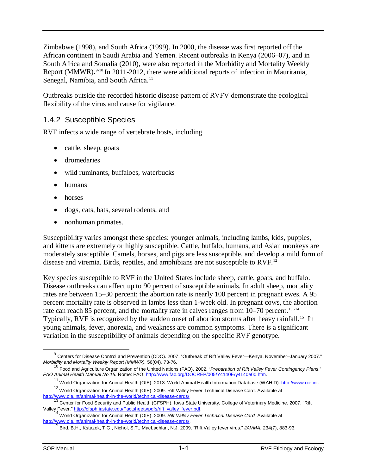Zimbabwe (1998), and South Africa (1999). In 2000, the disease was first reported off the African continent in Saudi Arabia and Yemen. Recent outbreaks in Kenya (2006–07), and in South Africa and Somalia (2010), were also reported in the Morbidity and Mortality Weekly Report (MMWR).<sup>[9](#page-6-1),[10](#page-6-2)</sup> In 2011-2012, there were additional reports of infection in Mauritania, Senegal, Namibia, and South Africa.<sup>[11](#page-6-3)</sup>

Outbreaks outside the recorded historic disease pattern of RVFV demonstrate the ecological flexibility of the virus and cause for vigilance.

## <span id="page-6-0"></span>1.4.2 Susceptible Species

RVF infects a wide range of vertebrate hosts, including

- cattle, sheep, goats
- dromedaries
- wild ruminants, buffaloes, waterbucks
- humans
- horses
- dogs, cats, bats, several rodents, and
- nonhuman primates.

Susceptibility varies amongst these species: younger animals, including lambs, kids, puppies, and kittens are extremely or highly susceptible. Cattle, buffalo, humans, and Asian monkeys are moderately susceptible. Camels, horses, and pigs are less susceptible, and develop a mild form of disease and viremia. Birds, reptiles, and amphibians are not susceptible to RVF.[12](#page-6-4) 

Key species susceptible to RVF in the United States include sheep, cattle, goats, and buffalo. Disease outbreaks can affect up to 90 percent of susceptible animals. In adult sheep, mortality rates are between 15–30 percent; the abortion rate is nearly 100 percent in pregnant ewes. A 95 percent mortality rate is observed in lambs less than 1-week old. In pregnant cows, the abortion rate can reach 85 percent, and the mortality rate in calves ranges from  $10-70$  percent.<sup>13,[14](#page-6-6)</sup> Typically, RVF is recognized by the sudden onset of abortion storms after heavy rainfall. [15](#page-6-7) In young animals, fever, anorexia, and weakness are common symptoms. There is a significant variation in the susceptibility of animals depending on the specific RVF genotype.

<span id="page-6-1"></span><sup>&</sup>lt;sup>9</sup> Centers for Disease Control and Prevention (CDC). 2007. "Outbreak of Rift Valley Fever—Kenya, November–January 2007." *Morbidity and Mortality Weekly Report (MMWR),* 56(04), 73-76.

<span id="page-6-2"></span><sup>10</sup> Food and Agriculture Organization of the United Nations (FAO). 2002. "*Preparation of Rift Valley Fever Contingency Plans*." *FAO Animal Health Manual No.15.* Rome: FAO[. http://www.fao.org/DOCREP/005/Y4140E/y4140e00.htm.](http://www.fao.org/DOCREP/005/Y4140E/y4140e00.htm)

<sup>&</sup>lt;sup>11</sup> World Organization for Animal Health (OIE). 2013. World Animal Health Information Database (WAHID). http://www.oie.int.

<span id="page-6-4"></span><span id="page-6-3"></span><sup>&</sup>lt;sup>12</sup> World Organization for Animal Health (OIE). 2009. Rift Valley Fever Technical Disease Card. Available at http://www.oie.int/animal-health-in-the-world/technical-disease-cards/.

http://www.chritheral-mealth-in-the-world/technical-disease-cards-cared-cards-care-cards-cards-cards-cards-card<br><sup>[13](http://www.oie.int/animal-health-in-the-world/technical-disease-cards/)</sup> Center for Food Security and Public Health (CFSPH), Iowa State University, College of Veterinary Medicine

<span id="page-6-7"></span><span id="page-6-6"></span><span id="page-6-5"></span>Valley Fever.[" http://cfsph.iastate.edu/Factsheets/pdfs/rift\\_valley\\_fever.pdf.](http://cfsph.iastate.edu/Factsheets/pdfs/rift_valley_fever.pdf) 14<br>
<sup>14</sup> World Organization for Animal Health (OIE). 2009. *Rift Valley Fever Technical Disease Card.* Available at<br>
http://www.oie.int/animal-

Bird, B.H., Kstazek, T.G., Nichol, S.T., MacLachlan, N.J. 2009. "Rift Valley fever virus." *JAVMA*, 234(7), 883-93.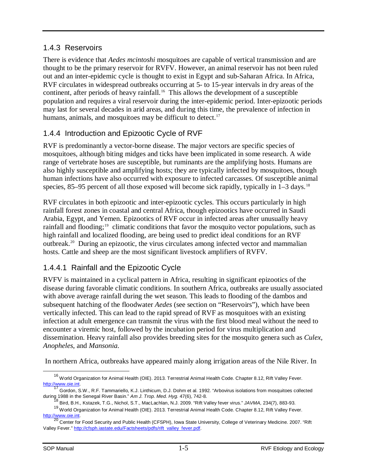#### <span id="page-7-0"></span>1.4.3 Reservoirs

There is evidence that *Aedes mcintoshi* mosquitoes are capable of vertical transmission and are thought to be the primary reservoir for RVFV. However, an animal reservoir has not been ruled out and an inter-epidemic cycle is thought to exist in Egypt and sub-Saharan Africa. In Africa, RVF circulates in widespread outbreaks occurring at 5- to 15-year intervals in dry areas of the continent, after periods of heavy rainfall. [16](#page-7-3) This allows the development of a susceptible population and requires a viral reservoir during the inter-epidemic period. Inter-epizootic periods may last for several decades in arid areas, and during this time, the prevalence of infection in humans, animals, and mosquitoes may be difficult to detect.<sup>[17](#page-7-4)</sup>

# <span id="page-7-1"></span>1.4.4 Introduction and Epizootic Cycle of RVF

RVF is predominantly a vector-borne disease. The major vectors are specific species of mosquitoes, although biting midges and ticks have been implicated in some research. A wide range of vertebrate hoses are susceptible, but ruminants are the amplifying hosts. Humans are also highly susceptible and amplifying hosts; they are typically infected by mosquitoes, though human infections have also occurred with exposure to infected carcasses. Of susceptible animal species, 85–95 percent of all those exposed will become sick rapidly, typically in  $1-3$  days.<sup>[18](#page-7-5)</sup>

RVF circulates in both epizootic and inter-epizootic cycles. This occurs particularly in high rainfall forest zones in coastal and central Africa, though epizootics have occurred in Saudi Arabia, Egypt, and Yemen. Epizootics of RVF occur in infected areas after unusually heavy rainfall and flooding;<sup>[19](#page-7-6)</sup> climatic conditions that favor the mosquito vector populations, such as high rainfall and localized flooding, are being used to predict ideal conditions for an RVF outbreak.[20](#page-7-7) During an epizootic, the virus circulates among infected vector and mammalian hosts. Cattle and sheep are the most significant livestock amplifiers of RVFV.

## <span id="page-7-2"></span>1.4.4.1 Rainfall and the Epizootic Cycle

RVFV is maintained in a cyclical pattern in Africa, resulting in significant epizootics of the disease during favorable climatic conditions. In southern Africa, outbreaks are usually associated with above average rainfall during the wet season. This leads to flooding of the dambos and subsequent hatching of the floodwater *Aedes* (see section on "Reservoirs"), which have been vertically infected. This can lead to the rapid spread of RVF as mosquitoes with an existing infection at adult emergence can transmit the virus with the first blood meal without the need to encounter a viremic host, followed by the incubation period for virus multiplication and dissemination. Heavy rainfall also provides breeding sites for the mosquito genera such as *Culex, Anopheles*, and *Mansonia.*

In northern Africa, outbreaks have appeared mainly along irrigation areas of the Nile River. In

<sup>&</sup>lt;sup>16</sup> World Organization for Animal Health (OIE). 2013. Terrestrial Animal Health Code. Chapter 8.12, Rift Valley Fever.  $\overline{a}$ 

<span id="page-7-4"></span><span id="page-7-3"></span>http://www.oie.int.<br><sup>17</sup> Gordon, S.W., R.F. Tammariello, K.J. Linthicum, D.J. Dohm et al. 1992. "Arbovirus isolations from mosquitoes collected during 1988 in the Senegal River Basin." *Am J. Trop. Med. Hyg.* 47(6), 742-8.

<sup>18</sup> Bird, B.H., Kstazek, T.G., Nichol, S.T., MacLachlan, N.J. 2009. "Rift Valley fever virus." *JAVMA,* 234(7), 883-93.

<span id="page-7-6"></span><span id="page-7-5"></span><sup>&</sup>lt;sup>19</sup> World Organization for Animal Health (OIE). 2013. Terrestrial Animal Health Code. Chapter 8.12, Rift Valley Fever. [http://www.oie.int.](http://www.oie.int/)<br><sup>20</sup> Center for Food Security and Public Health (CFSPH), Iowa State University, College of Veterinary Medicine. 2007. "Rift

<span id="page-7-7"></span>Valley Fever." http://cfsph.iastate.edu/Factsheets/pdfs/rift\_valley\_fever.pdf.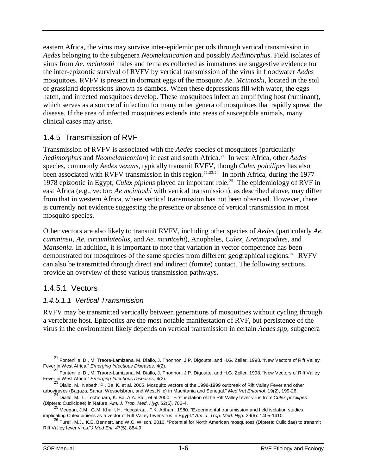eastern Africa, the virus may survive inter-epidemic periods through vertical transmission in *Aedes* belonging to the subgenera *Neomelaniconion* and possibly *Aedimorphus*. Field isolates of virus from *Ae. mcintoshi* males and females collected as immatures are suggestive evidence for the inter-epizootic survival of RVFV by vertical transmission of the virus in floodwater *Aedes* mosquitoes. RVFV is present in dormant eggs of the mosquito *Ae. Mcintoshi*, located in the soil of grassland depressions known as dambos. When these depressions fill with water, the eggs hatch, and infected mosquitoes develop. These mosquitoes infect an amplifying host (ruminant), which serves as a source of infection for many other genera of mosquitoes that rapidly spread the disease. If the area of infected mosquitoes extends into areas of susceptible animals, many clinical cases may arise.

# <span id="page-8-0"></span>1.4.5 Transmission of RVF

Transmission of RVFV is associated with the *Aedes* species of mosquitoes (particularly *Aedimorphus* and *Neomelaniconion*) in east and south Africa. [21](#page-8-2) In west Africa, other *Aedes*  species, commonly *Aedes vexans*, typically transmit RVFV, though *Culex poicilipes* has also been associated with RVFV transmission in this region.<sup>[22,](#page-8-3)[23,](#page-8-4)[24](#page-8-5)</sup> In north Africa, during the 1977– 1978 epizootic in Egypt, *Culex pipiens* played an important role.[25](#page-8-6) The epidemiology of RVF in east Africa (e.g., vector: *Ae mcintoshi* with vertical transmission), as described above, may differ from that in western Africa, where vertical transmission has not been observed. However, there is currently not evidence suggesting the presence or absence of vertical transmission in most mosquito species.

Other vectors are also likely to transmit RVFV, including other species of *Aedes* (particularly *Ae. cumminsii*, *Ae. circumluteolus*, and *Ae. mcintoshi*), Anopheles, *Culex, Eretmapodites*, and *Mansonia*. In addition, it is important to note that variation in vector competence has been demonstrated for mosquitoes of the same species from different geographical regions.<sup>[26](#page-8-7)</sup> RVFV can also be transmitted through direct and indirect (fomite) contact. The following sections provide an overview of these various transmission pathways.

## <span id="page-8-1"></span>1.4.5.1 Vectors

#### *1.4.5.1.1 Vertical Transmission*

RVFV may be transmitted vertically between generations of mosquitoes without cycling through a vertebrate host. Epizootics are the most notable manifestation of RVF, but persistence of the virus in the environment likely depends on vertical transmission in certain *Aedes spp*, subgenera

<span id="page-8-2"></span><sup>21</sup> Fontenille, D., M. Traore-Lamizana, M. Diallo, J. Thonnon, J.P. Digoutte, and H.G. Zeller. 1998. "New Vectors of Rift Valley Fever in West Africa." *Emerging Infectious Diseases,* 4(2).  $\overline{a}$ 

<span id="page-8-3"></span><sup>22</sup> Fontenille, D., M. Traore-Lamizana, M. Diallo, J. Thonnon, J.P. Digoutte, and H.G. Zeller. 1998. "New Vectors of Rift Valley Fever in West Africa." *Emerging Infectious Diseases,* 4(2). <sup>23</sup> Diallo, M., Nabeth, P., Ba, K. et al. 2005. Mosquito vectors of the 1998-1999 outbreak of Rift Valley Fever and other

<span id="page-8-4"></span>arboviruses (Bagaza, Sanar, Wesselsbron, and West Nile) in Mauritania and Senegal." *Med Vet Entomol.* 19(2), 199-26.

<span id="page-8-5"></span><sup>24</sup> Diallo, M., L. Lochouarn, K. Ba, A.A. Sall, et al.2000. "First isolation of the Rift Valley fever virus from *Culex poicilipes* 

<sup>(</sup>Diptera: Cuclicidae) in Nature. *Am. J. Trop. Med. Hyg.* 62(6), 702-4.<br><sup>25</sup> Meegan, J.M., G.M. Khalil, H. Hoogstraal, F.K. Adham. 1980. "Experimental transmission and field isolation studies

<span id="page-8-7"></span><span id="page-8-6"></span>implicating Culex pipiens as a vector of Rift Valley fever virus in Egypt." *Am. J. Trop. Med. Hyg.* 29(6): 1405-1410.<br><sup>26</sup> Turell, M.J., K.E. Bennett, and W.C. Wilson. 2010. "Potential for North American mosquitoes (Dipte Rift Valley fever virus."*J Med Ent, 4*7(5), 884-9.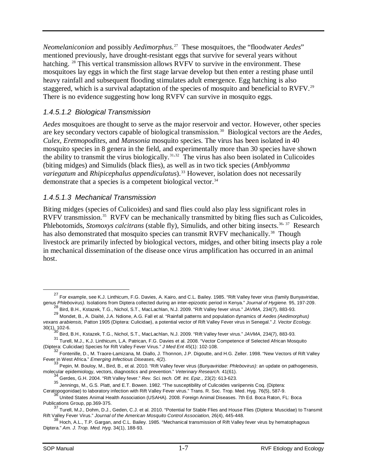*Neomelaniconion* and possibly *Aedimorphus*. [27](#page-9-0) These mosquitoes, the "floodwater *Aedes*" mentioned previously, have drought-resistant eggs that survive for several years without hatching. <sup>[28](#page-9-1)</sup> This vertical transmission allows RVFV to survive in the environment. These mosquitoes lay eggs in which the first stage larvae develop but then enter a resting phase until heavy rainfall and subsequent flooding stimulates adult emergence. Egg hatching is also staggered, which is a survival adaptation of the species of mosquito and beneficial to RVFV.<sup>[29](#page-9-2)</sup> There is no evidence suggesting how long RVFV can survive in mosquito eggs.

## *1.4.5.1.2 Biological Transmission*

*Aedes* mosquitoes are thought to serve as the major reservoir and vector. However, other species are key secondary vectors capable of biological transmission. [30](#page-9-3) Biological vectors are the *Aedes*, *Culex, Eretmopodites*, and *Mansonia* mosquito species. The virus has been isolated in 40 mosquito species in 8 genera in the field, and experimentally more than 30 species have shown the ability to transmit the virus biologically. [31](#page-9-4),[32](#page-9-5) The virus has also been isolated in Culicoides (biting midges) and Simulids (black flies), as well as in two tick species (*Amblyomma variegatum* and *Rhipicephalus appendiculatus*).<sup>[33](#page-9-6)</sup> However, isolation does not necessarily demonstrate that a species is a competent biological vector. $34$ 

#### *1.4.5.1.3 Mechanical Transmission*

Biting midges (species of Culicoides) and sand flies could also play less significant roles in RVFV transmission.<sup>35</sup> RVFV can be mechanically transmitted by biting flies such as Culicoides, Phlebotomids, *Stomoxys calcitrans* (stable fly), Simulids, and other biting insects.<sup>[36](#page-9-9), [37](#page-9-10)</sup> Research has also demonstrated that mosquito species can transmit RVFV mechanically.<sup>[38](#page-9-11)</sup> Though livestock are primarily infected by biological vectors, midges, and other biting insects play a role in mechanical dissemination of the disease once virus amplification has occurred in an animal host.

<span id="page-9-0"></span><sup>&</sup>lt;sup>27</sup> For example, see K.J. Linthicum, F.G. Davies, A. Kairo, and C.L. Bailey. 1985. "Rift Valley fever virus (family Bunyaviridae, genus *Phlebovirus).* Isolations from Diptera collected during an inter-epizootic period in Kenya." *Journal of Hygiene.* 95, 197-209.

<sup>28</sup> Bird, B.H., Kstazek, T.G., Nichol, S.T., MacLachlan, N.J. 2009. "Rift Valley fever virus." *JAVMA,* 234(7), 883-93.

<span id="page-9-2"></span><span id="page-9-1"></span><sup>29</sup> Mondet, B., A. Diaïté, J.A. Ndione, A.G. Fall et al. "Rainfall patterns and population dynamics of *Aedes (Aedimorphus) vexans arabiensis,* Patton 1905 (Diptera: Culicidae), a potential vector of Rift Valley Fever virus in Senegal." *J. Vector Ecology.*   $30(1)$ , 102-6.

<sup>30</sup> Bird, B.H., Kstazek, T.G., Nichol, S.T., MacLachlan, N.J. 2009. "Rift Valley fever virus." *JAVMA,* 234(7), 883-93.

<span id="page-9-4"></span><span id="page-9-3"></span><sup>31</sup> Turell, M.J., K.J. Linthicum, L.A. Patrican, F.G. Davies et al. 2008. "Vector Competence of Selected African Mosquito (Diptera: Culicidae) Species for Rift Valley Fever Virus." *J Med Ent* 45(1): 102-108.

<span id="page-9-5"></span><sup>&</sup>lt;sup>32</sup> Fontenille, D., M. Traore-Lamizana, M. Diallo, J. Thonnon, J.P. Digoutte, and H.G. Zeller. 1998. "New Vectors of Rift Valley Fever in West Africa." *Emerging Infectious Diseases, 4(2)*. 33 Pepin, M. Bouloy, M., Bird, B., et al. 2010. "Rift Valley fever virus (*Bunyaviridae: Phlebovirus)*: an update on pathogenesis, <sup>33</sup> Pepin, M. Bouloy, M., Bir

<span id="page-9-7"></span><span id="page-9-6"></span>molecular epidemiology, vectors, diagnostics and prevention." *Veterinary Research.* 41(61). <sup>34</sup> Gerdes, G.H. 2004. "Rift Valley fever." *Rev. Sci. tech. Off. Int. Epiz.,* 23(2): 613-623.

<sup>35</sup> Jennings, M., G.S. Platt, and E.T. Bowen. 1982. "The susceptibility of Culicoides variipennis Coq. (Diptera:

<span id="page-9-9"></span><span id="page-9-8"></span>Ceratopogonidae) to laboratory infection with Rift Valley Fever virus." Trans. R. Soc. Trop. Med. Hyg. 76(5), 587-9.<br><sup>36</sup> United States Animal Health Association (USAHA). 2008. Foreign Animal Diseases. 7th Ed. Boca Raton,

<span id="page-9-10"></span>Publications Group, pp.369-375.<br><sup>37</sup> Turell, M.J., Dohm, D.J., Geden, C.J. et al. 2010. "Potential for Stable Flies and House Flies (Diptera: Muscidae) to Transmit Rift Valley Fever Virus." *Journal of the American Mosquito Control Association,* 26(4), 445-448.

<span id="page-9-11"></span><sup>&</sup>lt;sup>38</sup> Hoch, A.L., T.P. Gargan, and C.L. Bailey. 1985. "Mechanical transmission of Rift Valley fever virus by hematophagous Diptera." *Am. J. Trop. Med. Hyg*. 34(1), 188-93.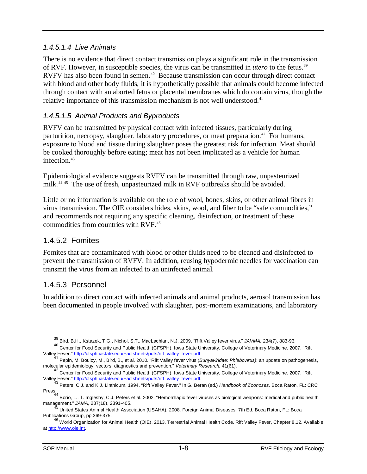#### *1.4.5.1.4 Live Animals*

There is no evidence that direct contact transmission plays a significant role in the transmission of RVF. However, in susceptible species, the virus can be transmitted in *utero* to the fetus.[39](#page-10-2)  RVFV has also been found in semen.<sup>[40](#page-10-3)</sup> Because transmission can occur through direct contact with blood and other body fluids, it is hypothetically possible that animals could become infected through contact with an aborted fetus or placental membranes which do contain virus, though the relative importance of this transmission mechanism is not well understood.<sup>[41](#page-10-4)</sup>

#### *1.4.5.1.5 Animal Products and Byproducts*

RVFV can be transmitted by physical contact with infected tissues, particularly during parturition, necropsy, slaughter, laboratory procedures, or meat preparation.<sup>[42](#page-10-5)</sup> For humans, exposure to blood and tissue during slaughter poses the greatest risk for infection. Meat should be cooked thoroughly before eating; meat has not been implicated as a vehicle for human infection.<sup>[43](#page-10-6)</sup>

Epidemiological evidence suggests RVFV can be transmitted through raw, unpasteurized milk.<sup>[44](#page-10-7),[45](#page-10-8)</sup> The use of fresh, unpasteurized milk in RVF outbreaks should be avoided.

Little or no information is available on the role of wool, bones, skins, or other animal fibres in virus transmission. The OIE considers hides, skins, wool, and fiber to be "safe commodities," and recommends not requiring any specific cleaning, disinfection, or treatment of these commodities from countries with RVF. [46](#page-10-9)

## <span id="page-10-0"></span>1.4.5.2 Fomites

Fomites that are contaminated with blood or other fluids need to be cleaned and disinfected to prevent the transmission of RVFV. In addition, reusing hypodermic needles for vaccination can transmit the virus from an infected to an uninfected animal.

## <span id="page-10-1"></span>1.4.5.3 Personnel

In addition to direct contact with infected animals and animal products, aerosol transmission has been documented in people involved with slaughter, post-mortem examinations, and laboratory

<sup>39</sup> Bird, B.H., Kstazek, T.G., Nichol, S.T., MacLachlan, N.J. 2009. "Rift Valley fever virus." *JAVMA,* 234(7), 883-93.

<span id="page-10-3"></span><span id="page-10-2"></span><sup>40</sup> Center for Food Security and Public Health (CFSPH), Iowa State University, College of Veterinary Medicine. 2007. "Rift Valley Fever.[" http://cfsph.iastate.edu/Factsheets/pdfs/rift\\_valley\\_fever.pdf](http://cfsph.iastate.edu/Factsheets/pdfs/rift_valley_fever.pdf) 41 Pepin, M. Bouloy, M., Bird, B., et al. 2010. "Rift Valley fever virus (*Bunyaviridae: Phlebovirus)*: an update on pathogenesis, <sup>41</sup> Pepin, M

<span id="page-10-4"></span>molecular epidemiology, vectors, diagnostics and prevention." *Veterinary Research.* 41(61).

<span id="page-10-5"></span><sup>&</sup>lt;sup>42</sup> Center for Food Security and Public Health (CFSPH), Iowa State University, College of Veterinary Medicine. 2007. "Rift Valley Fever.[" http://cfsph.iastate.edu/Factsheets/pdfs/rift\\_valley\\_fever.pdf.](http://cfsph.iastate.edu/Factsheets/pdfs/rift_valley_fever.pdf) <sup>43</sup> Peters, C.J. and K.J. Linthicum. 1994. "Rift Valley Fever." In G. Beran (ed.) *Handbook of Zoonoses*. Boca Raton, FL: CRC

<span id="page-10-7"></span><span id="page-10-6"></span>Press.<br><sup>44</sup> Borio, L., T. Inglesby, C.J. Peters et al. 2002. "Hemorrhagic fever viruses as biological weapons: medical and public health management." *JAMA*, 287(18), 2391-405.

<span id="page-10-8"></span><sup>45</sup> United States Animal Health Association (USAHA). 2008. Foreign Animal Diseases. 7th Ed. Boca Raton, FL: Boca Publications Group, pp.369-375.

<span id="page-10-9"></span><sup>46</sup> World Organization for Animal Health (OIE). 2013. Terrestrial Animal Health Code. Rift Valley Fever, Chapter 8.12. Available at [http://www.oie.int.](http://www.oie.int/)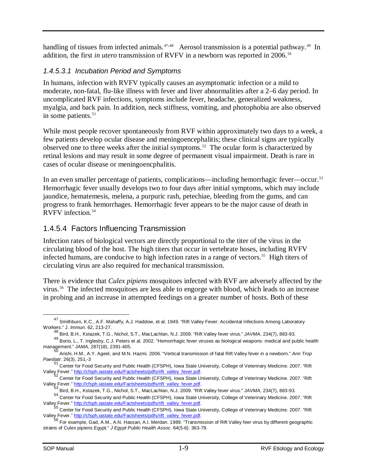handling of tissues from infected animals.<sup>[47,](#page-11-1)[48](#page-11-2)</sup> Aerosol transmission is a potential pathway.<sup>49</sup> In addition, the first *in utero* transmission of RVFV in a newborn was reported in 2006.<sup>[50](#page-11-4)</sup>

## *1.4.5.3.1 Incubation Period and Symptoms*

In humans, infection with RVFV typically causes an asymptomatic infection or a mild to moderate, non-fatal, flu-like illness with fever and liver abnormalities after a 2–6 day period. In uncomplicated RVF infections, symptoms include fever, headache, generalized weakness, myalgia, and back pain. In addition, neck stiffness, vomiting, and photophobia are also observed in some patients.<sup>[51](#page-11-5)</sup>

While most people recover spontaneously from RVF within approximately two days to a week, a few patients develop ocular disease and meningoencephalitis; these clinical signs are typically observed one to three weeks after the initial symptoms. [52](#page-11-6) The ocular form is characterized by retinal lesions and may result in some degree of permanent visual impairment. Death is rare in cases of ocular disease or meningoencphalitis.

In an even smaller percentage of patients, complications—including hemorrhagic fever—occur.<sup>[53](#page-11-7)</sup> Hemorrhagic fever usually develops two to four days after initial symptoms, which may include jaundice, hematemesis, melena, a purpuric rash, petechiae, bleeding from the gums, and can progress to frank hemorrhages. Hemorrhagic fever appears to be the major cause of death in RVFV infection.[54](#page-11-8) 

# <span id="page-11-0"></span>1.4.5.4 Factors Influencing Transmission

Infection rates of biological vectors are directly proportional to the titer of the virus in the circulating blood of the host. The high titers that occur in vertebrate hoses, including RVFV infected humans, are conducive to high infection rates in a range of vectors.<sup>[55](#page-11-9)</sup> High titers of circulating virus are also required for mechanical transmission.

There is evidence that *Culex pipiens* mosquitoes infected with RVF are adversely affected by the virus. [56](#page-11-10) The infected mosquitoes are less able to engorge with blood, which leads to an increase in probing and an increase in attempted feedings on a greater number of hosts. Both of these

<span id="page-11-1"></span><sup>&</sup>lt;sup>47</sup> Smithburn, K.C., A.F. Mahaffy, A.J. Haddow, et al. 1949. "Rift Valley Fever: Accidental Infections Among Laboratory Workers." J. *Immun*. 62, 213-27.  $\overline{a}$ 

<sup>48</sup> Bird, B.H., Kstazek, T.G., Nichol, S.T., MacLachlan, N.J. 2009. "Rift Valley fever virus." *JAVMA*, 234(7), 883-93.

<sup>49</sup> Borio, L., T. Inglesby, C.J. Peters et al. 2002. "Hemorrhagic fever viruses as biological weapons: medical and public health

<span id="page-11-4"></span><span id="page-11-3"></span><span id="page-11-2"></span>management." *JAMA,* 287(18), 2391-405. <sup>50</sup> Arishi, H.M., A.Y. Ageel, and M.N. Hazmi. 2006. "Vertical transmission of fatal Rift Valley fever in a newborn." *Ann Trop Paediatr*. 26(3), 251,-3

<span id="page-11-5"></span><sup>&</sup>lt;sup>51</sup> Center for Food Security and Public Health (CFSPH), Iowa State University, College of Veterinary Medicine. 2007. "Rift Valley Fever. pdf.<br>Valley Fever. **http://cfsph.iastate.edu/Factsheets/pdfs/rift** valley fever.pdf

<span id="page-11-6"></span><sup>&</sup>lt;sup>52</sup> Center for Food Security and Public Health (CFSPH), Iowa State University, College of Veterinary Medicine. 2007. "Rift Valley<sub>s</sub> Fever.[" http://cfsph.iastate.edu/Factsheets/pdfs/rift\\_valley\\_fever.pdf.](http://cfsph.iastate.edu/Factsheets/pdfs/rift_valley_fever.pdf)

Bird, B.H., Kstazek, T.G., Nichol, S.T., MacLachlan, N.J. 2009. "Rift Valley fever virus." *JAVMA*, 234(7), 883-93.

<span id="page-11-8"></span><span id="page-11-7"></span><sup>&</sup>lt;sup>54</sup> Center for Food Security and Public Health (CFSPH), Iowa State University, College of Veterinary Medicine. 2007. "Rift Valley Fever.pdf.<br>Valley Fever.pdf.

<span id="page-11-9"></span>Center for Food Security and Public Health (CFSPH), Iowa State University, College of Veterinary Medicine. 2007. "Rift Valley Fever.[" http://cfsph.iastate.edu/Factsheets/pdfs/rift\\_valley\\_fever.pdf.](http://cfsph.iastate.edu/Factsheets/pdfs/rift_valley_fever.pdf) 56<br>56 For example, Gad, A.M., A.N. Hassan, A.I. Merdan. 1989. "Transmission of Rift Valley feer virus by different geographic

<span id="page-11-10"></span>strains of Culex pipiens Egypt." *J Egypt Public Health Assoc.* 64(5-6): 363-79.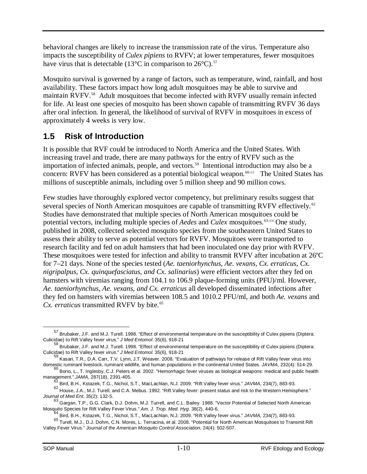behavioral changes are likely to increase the transmission rate of the virus. Temperature also impacts the susceptibility of *Culex pipiens* to RVFV; at lower temperatures, fewer mosquitoes have virus that is detectable (13 $^{\circ}$ C in comparison to 26 $^{\circ}$ C).<sup>57</sup>

Mosquito survival is governed by a range of factors, such as temperature, wind, rainfall, and host availability. These factors impact how long adult mosquitoes may be able to survive and maintain RVFV.[58](#page-12-2) Adult mosquitoes that become infected with RVFV usually remain infected for life. At least one species of mosquito has been shown capable of transmitting RVFV 36 days after oral infection. In general, the likelihood of survival of RVFV in mosquitoes in excess of approximately 4 weeks is very low.

# <span id="page-12-0"></span>**1.5 Risk of Introduction**

It is possible that RVF could be introduced to North America and the United States. With increasing travel and trade, there are many pathways for the entry of RVFV such as the importation of infected animals, people, and vectors.<sup>[59](#page-12-3)</sup> Intentional introduction may also be a concern: RVFV has been considered as a potential biological weapon.<sup>[60,](#page-12-4)[61](#page-12-5)</sup> The United States has millions of susceptible animals, including over 5 million sheep and 90 million cows.

Few studies have thoroughly explored vector competency, but preliminary results suggest that several species of North American mosquitoes are capable of transmitting RVFV effectively.<sup>62</sup> Studies have demonstrated that multiple species of North American mosquitoes could be potential vectors, including multiple species of *Aedes* and *Culex* mosquitoes.<sup>[63](#page-12-7),[64](#page-12-8)</sup> One study, published in 2008, collected selected mosquito species from the southeastern United States to assess their ability to serve as potential vectors for RVFV. Mosquitoes were transported to research facility and fed on adult hamsters that had been inoculated one day prior with RVFV. These mosquitoes were tested for infection and ability to transmit RVFV after incubation at 26ºC for 7–21 days. None of the species tested (*Ae. taeniorhynchus, Ae. vexans, Cx. erraticus, Cx. nigripalpus, Cx. quinquefasciatus, and Cx. salinarius*) were efficient vectors after they fed on hamsters with viremias ranging from 104.1 to 106.9 plaque-forming units (PFU)/ml. However, *Ae. taeniorhynchus, Ae. vexans, and Cx. erraticus* all developed disseminated infections after they fed on hamsters with viremias between 108.5 and 1010.2 PFU/ml, and both *Ae. vexans* and *Cx. erraticus* transmitted RVFV by bite.<sup>[65](#page-12-9)</sup>

<span id="page-12-1"></span><sup>57</sup> Brubaker, J.F. and M.J. Turell. 1998. "Effect of environmental temperature on the susceptibility of Culex pipiens (Diptera: Culicidae) to Rift Valley fever virus." *J Med Entomol*. 35(6), 918-21  $\overline{a}$ 

<span id="page-12-2"></span><sup>58</sup> Brubaker, J.F. and M.J. Turell. 1998. "Effect of environmental temperature on the susceptibility of Culex pipiens (Diptera: Culicidae) to Rift Valley fever virus." *J Med Entomol.* 35(6), 918-21

<span id="page-12-3"></span><sup>59</sup> Kasari, T.R., D.A. Carr, T.V. Lynn, J.T. Weaver. 2008. "Evaluation of pathways for release of Rift Valley fever virus into domestic ruminant livestock, ruminant wildlife, and human populations in the continental United States. *JAVMA*, 232(4): 514-29.

<span id="page-12-4"></span> $^{60}$  Borio, L., T. Inglesby, C.J. Peters et al. 2002. "Hemorrhagic fever viruses as biological weapons: medical and public health management." *JAMA,* 287(18), 2391-405.

<sup>61</sup> Bird, B.H., Kstazek, T.G., Nichol, S.T., MacLachlan, N.J. 2009. "Rift Valley fever virus." *JAVMA,* 234(7), 883-93.

<span id="page-12-6"></span><span id="page-12-5"></span> $62$  House, J.A., M.J. Turell, and C.A. Mebus. 1992. "Rift Valley fever: present status and risk to the Western Hemisphere." *Journal of Med Ent*. 35(2): 132-5.

<span id="page-12-7"></span><sup>63</sup> Gargan, T.P., G.G. Clark, D.J. Dohm, M.J. Turrell, and C.L. Bailey. 1988. "Vector Potential of Selected North American

Mosquito Species for Rift Valley Fever Virus." *Am. J. Trop. Med. Hyg*. 38(2), 440-6. <sup>64</sup> Bird, B.H., Kstazek, T.G., Nichol, S.T., MacLachlan, N.J. 2009. "Rift Valley fever virus." *JAVMA,* 234(7), 883-93.

<span id="page-12-9"></span><span id="page-12-8"></span><sup>65</sup> Turell, M.J., D.J. Dohm, C.N. Mores, L. Terracina, et al. 2008. "Potential for North American Mosquitoes to Transmit Rift Valley Fever Virus." *Journal of the American Mosquito Control Association,* 24(4): 502-507.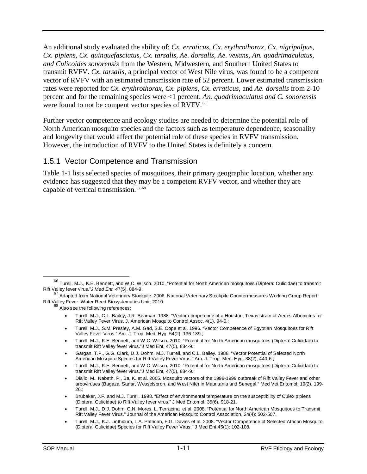An additional study evaluated the ability of: *Cx. erraticus, Cx. erythrothorax, Cx. nigripalpus, Cx. pipiens, Cx. quinquefasciatus, Cx. tarsalis, Ae. dorsalis, Ae. vexans, An. quadrimaculatus, and Culicoides sonorensis* from the Western, Midwestern, and Southern United States to transmit RVFV. *Cx. tarsalis*, a principal vector of West Nile virus, was found to be a competent vector of RVFV with an estimated transmission rate of 52 percent. Lower estimated transmission rates were reported for *Cx. erythrothorax, Cx. pipiens, Cx. erraticus*, and *Ae. dorsalis* from 2-10 percent and for the remaining species were <1 percent. *An. quadrimaculatus and C. sonorensis* were found to not be compent vector species of RVFV.<sup>66</sup>

Further vector competence and ecology studies are needed to determine the potential role of North American mosquito species and the factors such as temperature dependence, seasonality and longevity that would affect the potential role of these species in RVFV transmission. However, the introduction of RVFV to the United States is definitely a concern.

#### <span id="page-13-0"></span>1.5.1 Vector Competence and Transmission

Table 1-1 lists selected species of mosquitoes, their primary geographic location, whether any evidence has suggested that they may be a competent RVFV vector, and whether they are capable of vertical transmission. [67](#page-13-2),[68](#page-13-3)

- Turell, M.J., S.M. Presley, A.M. Gad, S.E. Cope et al. 1996. "Vector Competence of Egyptian Mosquitoes for Rift Valley Fever Virus." Am. J. Trop. Med. Hyg. 54(2): 136-139.;
- Turell, M.J., K.E. Bennett, and W.C. Wilson. 2010. "Potential for North American mosquitoes (Diptera: Culicidae) to transmit Rift Valley fever virus."J Med Ent, 47(5), 884-9.;
- Gargan, T.P., G.G. Clark, D.J. Dohm, M.J. Turrell, and C.L. Bailey. 1988. "Vector Potential of Selected North American Mosquito Species for Rift Valley Fever Virus." Am. J. Trop. Med. Hyg. 38(2), 440-6.;
- Turell, M.J., K.E. Bennett, and W.C. Wilson. 2010. "Potential for North American mosquitoes (Diptera: Culicidae) to transmit Rift Valley fever virus."J Med Ent, 47(5), 884-9.;
- Diallo, M., Nabeth, P., Ba, K. et al. 2005. Mosquito vectors of the 1998-1999 outbreak of Rift Valley Fever and other arboviruses (Bagaza, Sanar, Wesselsbron, and West Nile) in Mauritania and Senegal." Med Vet Entomol. 19(2), 199- 26.;
- Brubaker, J.F. and M.J. Turell. 1998. "Effect of environmental temperature on the susceptibility of Culex pipiens (Diptera: Culicidae) to Rift Valley fever virus." J Med Entomol. 35(6), 918-21.
- Turell, M.J., D.J. Dohm, C.N. Mores, L. Terracina, et al. 2008. "Potential for North American Mosquitoes to Transmit Rift Valley Fever Virus." Journal of the American Mosquito Control Association, 24(4): 502-507.
- Turell, M.J., K.J. Linthicum, L.A. Patrican, F.G. Davies et al. 2008. "Vector Competence of Selected African Mosquito (Diptera: Culicidae) Species for Rift Valley Fever Virus." J Med Ent 45(1): 102-108.

<span id="page-13-1"></span><sup>66</sup> Turell, M.J., K.E. Bennett, and W.C. Wilson. 2010. "Potential for North American mosquitoes (Diptera: Culicidae) to transmit Rift Valley fever virus."*J Med Ent, 4*7(5), 884-9.

<span id="page-13-3"></span><span id="page-13-2"></span><sup>&</sup>lt;sup>67</sup> Adapted from National Veterinary Stockpile. 2006. National Veterinary Stockpile Countermeasures Working Group Report:<br>Rift Valley Fever. Water Reed Biosystematics Unit, 2010.

 $68$  Also see the following references:

<sup>•</sup> Turell, M.J., C.L. Bailey, J.R. Beaman, 1988. "Vector competence of a Houston, Texas strain of Aedes Albopictus for Rift Valley Fever Virus. J. American Mosquito Control Assoc. 4(1), 94-6.;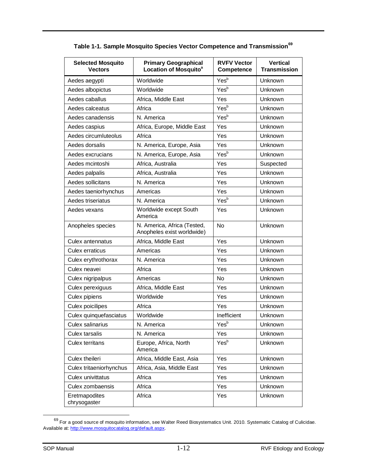| <b>Selected Mosquito</b><br><b>Vectors</b> | <b>Primary Geographical</b><br>Location of Mosquito <sup>a</sup> | <b>RVFV Vector</b><br>Competence | <b>Vertical</b><br><b>Transmission</b> |
|--------------------------------------------|------------------------------------------------------------------|----------------------------------|----------------------------------------|
| Aedes aegypti                              | Worldwide                                                        | Yes <sup>b</sup>                 | Unknown                                |
| Aedes albopictus                           | Worldwide                                                        | Yesb                             | Unknown                                |
| Aedes caballus                             | Africa, Middle East                                              | Yes                              | <b>Unknown</b>                         |
| Aedes calceatus                            | Africa                                                           | Yesb                             | Unknown                                |
| Aedes canadensis                           | N. America                                                       | Yesb                             | Unknown                                |
| Aedes caspius                              | Africa, Europe, Middle East                                      | Yes                              | Unknown                                |
| Aedes circumluteolus                       | Africa                                                           | Yes                              | Unknown                                |
| Aedes dorsalis                             | N. America, Europe, Asia                                         | Yes                              | Unknown                                |
| Aedes excrucians                           | N. America, Europe, Asia                                         | Yesb                             | Unknown                                |
| Aedes mcintoshi                            | Africa, Australia                                                | Yes                              | Suspected                              |
| Aedes palpalis                             | Africa, Australia                                                | Yes                              | Unknown                                |
| Aedes sollicitans                          | N. America                                                       | Yes                              | Unknown                                |
| Aedes taeniorhynchus                       | Americas                                                         | Yes                              | Unknown                                |
| Aedes triseriatus                          | N. America                                                       | Yesb                             | Unknown                                |
| Aedes vexans                               | Worldwide except South<br>America                                | Yes                              | Unknown                                |
| Anopheles species                          | N. America, Africa (Tested,<br>Anopheles exist worldwide)        | No                               | Unknown                                |
| Culex antennatus                           | Africa, Middle East                                              | Yes                              | Unknown                                |
| Culex erraticus                            | Americas                                                         | Yes                              | Unknown                                |
| Culex erythrothorax                        | N. America                                                       | Yes                              | Unknown                                |
| Culex neavei                               | Africa                                                           | Yes                              | Unknown                                |
| Culex nigripalpus                          | Americas                                                         | No.                              | Unknown                                |
| Culex perexiguus                           | Africa, Middle East                                              | Yes                              | Unknown                                |
| Culex pipiens                              | Worldwide                                                        | Yes                              | Unknown                                |
| Culex poicilipes                           | Africa                                                           | Yes                              | Unknown                                |
| Culex quinquefasciatus                     | Worldwide                                                        | Inefficient                      | Unknown                                |
| Culex salinarius                           | N. America                                                       | Yesb                             | Unknown                                |
| Culex tarsalis                             | N. America                                                       | Yes                              | Unknown                                |
| Culex territans                            | Europe, Africa, North<br>America                                 | Yes <sup>b</sup>                 | Unknown                                |
| Culex theileri                             | Africa, Middle East, Asia                                        | Yes                              | Unknown                                |
| Culex tritaeniorhynchus                    | Africa, Asia, Middle East                                        | Yes                              | Unknown                                |
| Culex univittatus                          | Africa                                                           | Yes                              | Unknown                                |
| Culex zombaensis                           | Africa                                                           | Yes                              | Unknown                                |
| Eretmapodites<br>chrysogaster              | Africa                                                           | Yes                              | Unknown                                |

#### **Table 1-1. Sample Mosquito Species Vector Competence and Transmission[69](#page-14-0)**

<span id="page-14-0"></span><sup>&</sup>lt;sup>69</sup> For a good source of mosquito information, see Walter Reed Biosystematics Unit. 2010. Systematic Catalog of Culicidae. Available at: [http://www.mosquitocatalog.org/default.aspx.](http://www.mosquitocatalog.org/default.aspx)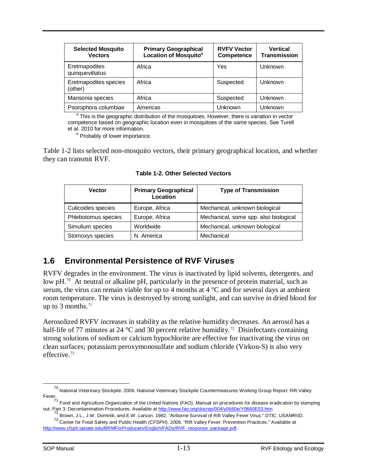| <b>Selected Mosquito</b><br><b>Vectors</b> | <b>Primary Geographical</b><br><b>Location of Mosquito<sup>a</sup></b> | <b>RVFV Vector</b><br>Competence | <b>Vertical</b><br>Transmission |
|--------------------------------------------|------------------------------------------------------------------------|----------------------------------|---------------------------------|
| Eretmapodites<br>quinquevittatus           | Africa                                                                 | Yes                              | Unknown                         |
| Eretmapodites species<br>(other)           | Africa                                                                 | Suspected                        | Unknown                         |
| Mansonia species                           | Africa                                                                 | Suspected                        | Unknown                         |
| Psorophora columbiae                       | Americas                                                               | Unknown                          | Unknown                         |

<sup>a</sup> This is the geographic distribution of the mosquitoes. However, there is variation in vector competence based on geographic location even in mosquitoes of the same species. See Turell et al. 2010 for more information.

**b** Probably of lower importance.

Table 1-2 lists selected non-mosquito vectors, their primary geographical location, and whether they can transmit RVF.

| <b>Vector</b>       | <b>Primary Geographical</b><br>Location | <b>Type of Transmission</b>           |
|---------------------|-----------------------------------------|---------------------------------------|
| Culicoides species  | Europe, Africa                          | Mechanical, unknown biological        |
| Phlebotomus species | Europe, Africa                          | Mechanical, some spp. also biological |
| Simulium species    | Worldwide                               | Mechanical, unknown biological        |
| Stomoxys species    | N. America                              | Mechanical                            |

**Table 1-2. Other Selected Vectors**

# <span id="page-15-0"></span>**1.6 Environmental Persistence of RVF Viruses**

RVFV degrades in the environment. The virus is inactivated by lipid solvents, detergents, and low pH.<sup>70</sup> At neutral or alkaline pH, particularly in the presence of protein material, such as serum, the virus can remain viable for up to 4 months at 4 °C and for several days at ambient room temperature. The virus is destroyed by strong sunlight, and can survive in dried blood for up to 3 months. $71$ 

Aerosolized RVFV increases in stability as the relative humidity decreases. An aerosol has a half-life of 77 minutes at 24  $^{\circ}$ C and 30 percent relative humidity.<sup>[72](#page-15-3)</sup> Disinfectants containing strong solutions of sodium or calcium hypochlorite are effective for inactivating the virus on clean surfaces; potassium peroxymonosulfate and sodium chloride (Virkon-S) is also very effective.[73](#page-15-4)

<span id="page-15-1"></span> $^{70}$  National Veterinary Stockpile. 2006. National Veterinary Stockpile Countermeasures Working Group Report: Rift Valley Fever.  $\overline{a}$ 

<span id="page-15-2"></span><sup>&</sup>lt;sup>71</sup> Food and Agriculture Organization of the United Nations (FAO). Manual on procedures for disease eradication by stamping out. Part 3: Decontamination Procedures. Available at http://www.fao.org/docrep/004/y0660e/Y0660E

<sup>72</sup> Brown, J.L., J.W. Dominik, and E.W. Larson. 1982. "Airborne Survival of Rift Valley Fever Virus." DTIC. USAMRIID. <sup>73</sup> Center for Food Safety and Public Health (CFSPH). 2006. "Rift Valley Fever: Prevention Practices." Available at

<span id="page-15-4"></span><span id="page-15-3"></span>[http://www.cfsph.iastate.edu/BRMForProducers/English/FADs/RVF\\_response\\_package.pdf.](http://www.cfsph.iastate.edu/BRMForProducers/English/FADs/RVF_response_package.pdf)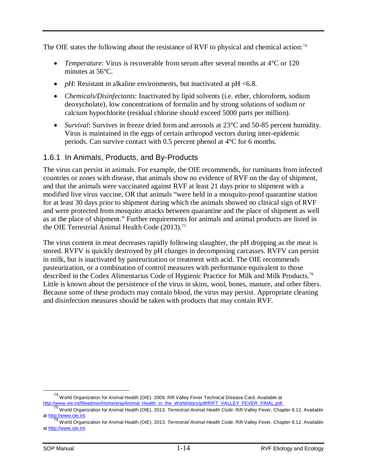The OIE states the following about the resistance of RVF to physical and chemical action:<sup>[74](#page-16-1)</sup>

- *Temperature*: Virus is recoverable from serum after several months at 4°C or 120 minutes at 56°C.
- $pH$ : Resistant in alkaline environments, but inactivated at  $pH < 6.8$ .
- *Chemicals/Disinfectants*: Inactivated by lipid solvents (i.e. ether, chloroform, sodium deoxycholate), low concentrations of formalin and by strong solutions of sodium or calcium hypochlorite (residual chlorine should exceed 5000 parts per million).
- *Survival*: Survives in freeze dried form and aerosols at 23°C and 50-85 percent humidity. Virus is maintained in the eggs of certain arthropod vectors during inter-epidemic periods. Can survive contact with 0.5 percent phenol at 4°C for 6 months.

#### <span id="page-16-0"></span>1.6.1 In Animals, Products, and By-Products

The virus can persist in animals. For example, the OIE recommends, for ruminants from infected countries or zones with disease, that animals show no evidence of RVF on the day of shipment, and that the animals were vaccinated against RVF at least 21 days prior to shipment with a modified live virus vaccine, OR that animals "were held in a mosquito-proof quarantine station for at least 30 days prior to shipment during which the animals showed no clinical sign of RVF and were protected from mosquito attacks between quarantine and the place of shipment as well as at the place of shipment." Further requirements for animals and animal products are listed in the OIE Terrestrial Animal Health Code (2013).<sup>75</sup>

The virus content in meat decreases rapidly following slaughter, the pH dropping as the meat is stored. RVFV is quickly destroyed by pH changes in decomposing carcasses. RVFV can persist in milk, but is inactivated by pasteurization or treatment with acid. The OIE recommends pasteurization, or a combination of control measures with performance equivalent to those described in the Codex Alimentarius Code of Hygienic Practice for Milk and Milk Products. [76](#page-16-3) Little is known about the persistence of the virus in skins, wool, bones, manure, and other fibers. Because some of these products may contain blood, the virus may persist. Appropriate cleaning and disinfection measures should be taken with products that may contain RVF.

<span id="page-16-1"></span><sup>&</sup>lt;sup>74</sup> World Organization for Animal Health (OIE). 2009. Rift Valley Fever Technical Disease Card. Available at http://www.oie.int/fileadmin/Home/eng/Animal Health in the World/docs/pdf/RIFT VALLEY FEVER FINAL.pdf.

World Organization for Animal Health (OIE). 2013. Terrestrial Animal Health Code. Rift Valley Fever, Chapter 8.12. Available

<span id="page-16-3"></span><span id="page-16-2"></span>at [http://www.oie.int. 76](http://www.oie.int/) World Organization for Animal Health (OIE). 2013. *Terrestrial Animal Health Code*. Rift Valley Fever, Chapter 8.12. Available at [http://www.oie.int.](http://www.oie.int/)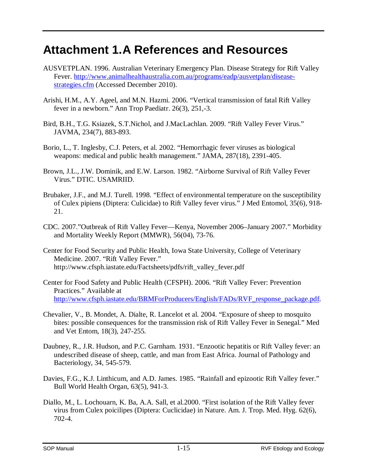# <span id="page-17-0"></span>**Attachment 1.A References and Resources**

- AUSVETPLAN. 1996. Australian Veterinary Emergency Plan. Disease Strategy for Rift Valley Fever. [http://www.animalhealthaustralia.com.au/programs/eadp/ausvetplan/disease](http://www.animalhealthaustralia.com.au/programs/eadp/ausvetplan/disease-strategies.cfm)[strategies.cfm](http://www.animalhealthaustralia.com.au/programs/eadp/ausvetplan/disease-strategies.cfm) (Accessed December 2010).
- Arishi, H.M., A.Y. Ageel, and M.N. Hazmi. 2006. "Vertical transmission of fatal Rift Valley fever in a newborn." Ann Trop Paediatr. 26(3), 251,-3.
- Bird, B.H., T.G. Ksiazek, S.T.Nichol, and J.MacLachlan. 2009. "Rift Valley Fever Virus." JAVMA, 234(7), 883-893.
- Borio, L., T. Inglesby, C.J. Peters, et al. 2002. "Hemorrhagic fever viruses as biological weapons: medical and public health management." JAMA, 287(18), 2391-405.
- Brown, J.L., J.W. Dominik, and E.W. Larson. 1982. "Airborne Survival of Rift Valley Fever Virus." DTIC. USAMRIID.
- Brubaker, J.F., and M.J. Turell. 1998. "Effect of environmental temperature on the susceptibility of Culex pipiens (Diptera: Culicidae) to Rift Valley fever virus." J Med Entomol, 35(6), 918- 21.
- CDC. 2007."Outbreak of Rift Valley Fever—Kenya, November 2006–January 2007." Morbidity and Mortality Weekly Report (MMWR), 56(04), 73-76.
- Center for Food Security and Public Health, Iowa State University, College of Veterinary Medicine. 2007. "Rift Valley Fever." http://www.cfsph.iastate.edu/Factsheets/pdfs/rift\_valley\_fever.pdf
- Center for Food Safety and Public Health (CFSPH). 2006. "Rift Valley Fever: Prevention Practices." Available at [http://www.cfsph.iastate.edu/BRMForProducers/English/FADs/RVF\\_response\\_package.pdf.](http://www.cfsph.iastate.edu/BRMForProducers/English/FADs/RVF_response_package.pdf)
- Chevalier, V., B. Mondet, A. Dialte, R. Lancelot et al. 2004. "Exposure of sheep to mosquito bites: possible consequences for the transmission risk of Rift Valley Fever in Senegal." Med and Vet Entom, 18(3), 247-255.
- Daubney, R., J.R. Hudson, and P.C. Garnham. 1931. "Enzootic hepatitis or Rift Valley fever: an undescribed disease of sheep, cattle, and man from East Africa. Journal of Pathology and Bacteriology, 34, 545-579.
- Davies, F.G., K.J. Linthicum, and A.D. James. 1985. "Rainfall and epizootic Rift Valley fever." Bull World Health Organ, 63(5), 941-3.
- Diallo, M., L. Lochouarn, K. Ba, A.A. Sall, et al.2000. "First isolation of the Rift Valley fever virus from Culex poicilipes (Diptera: Cuclicidae) in Nature. Am. J. Trop. Med. Hyg. 62(6), 702-4.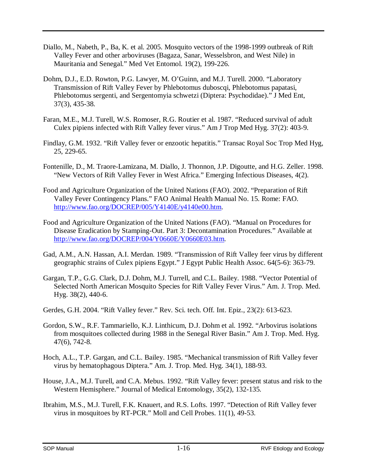- Diallo, M., Nabeth, P., Ba, K. et al. 2005. Mosquito vectors of the 1998-1999 outbreak of Rift Valley Fever and other arboviruses (Bagaza, Sanar, Wesselsbron, and West Nile) in Mauritania and Senegal." Med Vet Entomol. 19(2), 199-226.
- Dohm, D.J., E.D. Rowton, P.G. Lawyer, M. O'Guinn, and M.J. Turell. 2000. "Laboratory Transmission of Rift Valley Fever by Phlebotomus duboscqi, Phlebotomus papatasi, Phlebotomus sergenti, and Sergentomyia schwetzi (Diptera: Psychodidae)." J Med Ent, 37(3), 435-38.
- Faran, M.E., M.J. Turell, W.S. Romoser, R.G. Routier et al. 1987. "Reduced survival of adult Culex pipiens infected with Rift Valley fever virus." Am J Trop Med Hyg. 37(2): 403-9.
- Findlay, G.M. 1932. "Rift Valley fever or enzootic hepatitis." Transac Royal Soc Trop Med Hyg, 25, 229-65.
- Fontenille, D., M. Traore-Lamizana, M. Diallo, J. Thonnon, J.P. Digoutte, and H.G. Zeller. 1998. "New Vectors of Rift Valley Fever in West Africa." Emerging Infectious Diseases, 4(2).
- Food and Agriculture Organization of the United Nations (FAO). 2002. "Preparation of Rift Valley Fever Contingency Plans." FAO Animal Health Manual No. 15. Rome: FAO. [http://www.fao.org/DOCREP/005/Y4140E/y4140e00.htm.](http://www.fao.org/DOCREP/005/Y4140E/y4140e00.htm)
- Food and Agriculture Organization of the United Nations (FAO). "Manual on Procedures for Disease Eradication by Stamping-Out. Part 3: Decontamination Procedures." Available at [http://www.fao.org/DOCREP/004/Y0660E/Y0660E03.htm.](http://www.fao.org/DOCREP/004/Y0660E/Y0660E03.htm)
- Gad, A.M., A.N. Hassan, A.I. Merdan. 1989. "Transmission of Rift Valley feer virus by different geographic strains of Culex pipiens Egypt." J Egypt Public Health Assoc. 64(5-6): 363-79.
- Gargan, T.P., G.G. Clark, D.J. Dohm, M.J. Turrell, and C.L. Bailey. 1988. "Vector Potential of Selected North American Mosquito Species for Rift Valley Fever Virus." Am. J. Trop. Med. Hyg. 38(2), 440-6.
- Gerdes, G.H. 2004. "Rift Valley fever." Rev. Sci. tech. Off. Int. Epiz., 23(2): 613-623.
- Gordon, S.W., R.F. Tammariello, K.J. Linthicum, D.J. Dohm et al. 1992. "Arbovirus isolations from mosquitoes collected during 1988 in the Senegal River Basin." Am J. Trop. Med. Hyg. 47(6), 742-8.
- Hoch, A.L., T.P. Gargan, and C.L. Bailey. 1985. "Mechanical transmission of Rift Valley fever virus by hematophagous Diptera." Am. J. Trop. Med. Hyg. 34(1), 188-93.
- House, J.A., M.J. Turell, and C.A. Mebus. 1992. "Rift Valley fever: present status and risk to the Western Hemisphere." Journal of Medical Entomology, 35(2), 132-135.
- Ibrahim, M.S., M.J. Turell, F.K. Knauert, and R.S. Lofts. 1997. "Detection of Rift Valley fever virus in mosquitoes by RT-PCR." Moll and Cell Probes. 11(1), 49-53.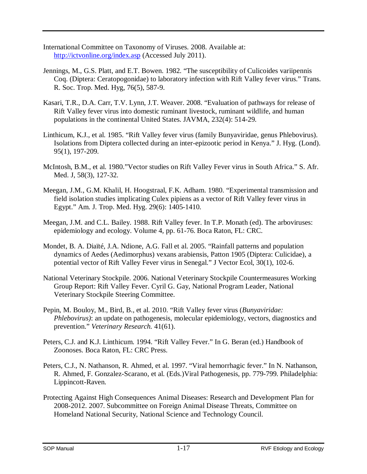- International Committee on Taxonomy of Viruses. 2008. Available at: <http://ictvonline.org/index.asp> (Accessed July 2011).
- Jennings, M., G.S. Platt, and E.T. Bowen. 1982. "The susceptibility of Culicoides variipennis Coq. (Diptera: Ceratopogonidae) to laboratory infection with Rift Valley fever virus." Trans. R. Soc. Trop. Med. Hyg, 76(5), 587-9.
- Kasari, T.R., D.A. Carr, T.V. Lynn, J.T. Weaver. 2008. "Evaluation of pathways for release of Rift Valley fever virus into domestic ruminant livestock, ruminant wildlife, and human populations in the continental United States. JAVMA, 232(4): 514-29.
- Linthicum, K.J., et al. 1985. "Rift Valley fever virus (family Bunyaviridae, genus Phlebovirus). Isolations from Diptera collected during an inter-epizootic period in Kenya." J. Hyg. (Lond). 95(1), 197-209.
- McIntosh, B.M., et al. 1980."Vector studies on Rift Valley Fever virus in South Africa." S. Afr. Med. J, 58(3), 127-32.
- Meegan, J.M., G.M. Khalil, H. Hoogstraal, F.K. Adham. 1980. "Experimental transmission and field isolation studies implicating Culex pipiens as a vector of Rift Valley fever virus in Egypt." Am. J. Trop. Med. Hyg. 29(6): 1405-1410.
- Meegan, J.M. and C.L. Bailey. 1988. Rift Valley fever. In T.P. Monath (ed). The arboviruses: epidemiology and ecology. Volume 4, pp. 61-76. Boca Raton, FL: CRC.
- Mondet, B. A. Diaïté, J.A. Ndione, A.G. Fall et al. 2005. "Rainfall patterns and population dynamics of Aedes (Aedimorphus) vexans arabiensis, Patton 1905 (Diptera: Culicidae), a potential vector of Rift Valley Fever virus in Senegal." J Vector Ecol, 30(1), 102-6.
- National Veterinary Stockpile. 2006. National Veterinary Stockpile Countermeasures Working Group Report: Rift Valley Fever. Cyril G. Gay, National Program Leader, National Veterinary Stockpile Steering Committee.
- Pepin, M. Bouloy, M., Bird, B., et al. 2010. "Rift Valley fever virus (*Bunyaviridae: Phlebovirus)*: an update on pathogenesis, molecular epidemiology, vectors, diagnostics and prevention." *Veterinary Research.* 41(61).
- Peters, C.J. and K.J. Linthicum. 1994. "Rift Valley Fever." In G. Beran (ed.) Handbook of Zoonoses. Boca Raton, FL: CRC Press.
- Peters, C.J., N. Nathanson, R. Ahmed, et al. 1997. "Viral hemorrhagic fever." In N. Nathanson, R. Ahmed, F. Gonzalez-Scarano, et al. (Eds.)Viral Pathogenesis, pp. 779-799. Philadelphia: Lippincott-Raven.
- Protecting Against High Consequences Animal Diseases: Research and Development Plan for 2008-2012. 2007. Subcommittee on Foreign Animal Disease Threats, Committee on Homeland National Security, National Science and Technology Council.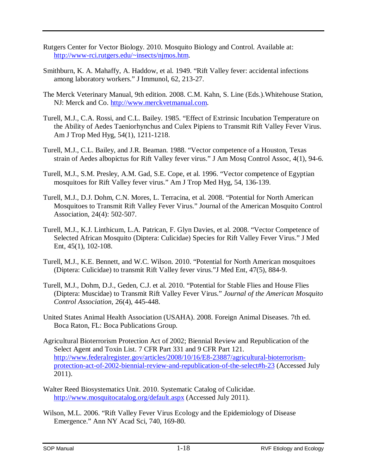- Rutgers Center for Vector Biology. 2010. Mosquito Biology and Control. Available at: [http://www-rci.rutgers.edu/~insects/njmos.htm.](http://www-rci.rutgers.edu/%7Einsects/njmos.htm)
- Smithburn, K. A. Mahaffy, A. Haddow, et al. 1949. "Rift Valley fever: accidental infections among laboratory workers." J Immunol, 62, 213-27.
- The Merck Veterinary Manual, 9th edition. 2008. C.M. Kahn, S. Line (Eds.).Whitehouse Station, NJ: Merck and Co. [http://www.merckvetmanual.com.](http://www.merckvetmanual.com/)
- Turell, M.J., C.A. Rossi, and C.L. Bailey. 1985. "Effect of Extrinsic Incubation Temperature on the Ability of Aedes Taeniorhynchus and Culex Pipiens to Transmit Rift Valley Fever Virus. Am J Trop Med Hyg, 54(1), 1211-1218.
- Turell, M.J., C.L. Bailey, and J.R. Beaman. 1988. "Vector competence of a Houston, Texas strain of Aedes albopictus for Rift Valley fever virus." J Am Mosq Control Assoc, 4(1), 94-6.
- Turell, M.J., S.M. Presley, A.M. Gad, S.E. Cope, et al. 1996. "Vector competence of Egyptian mosquitoes for Rift Valley fever virus." Am J Trop Med Hyg, 54, 136-139.
- Turell, M.J., D.J. Dohm, C.N. Mores, L. Terracina, et al. 2008. "Potential for North American Mosquitoes to Transmit Rift Valley Fever Virus." Journal of the American Mosquito Control Association, 24(4): 502-507.
- Turell, M.J., K.J. Linthicum, L.A. Patrican, F. Glyn Davies, et al. 2008. "Vector Competence of Selected African Mosquito (Diptera: Culicidae) Species for Rift Valley Fever Virus." J Med Ent, 45(1), 102-108.
- Turell, M.J., K.E. Bennett, and W.C. Wilson. 2010. "Potential for North American mosquitoes (Diptera: Culicidae) to transmit Rift Valley fever virus."J Med Ent, 47(5), 884-9.
- Turell, M.J., Dohm, D.J., Geden, C.J. et al. 2010. "Potential for Stable Flies and House Flies (Diptera: Muscidae) to Transmit Rift Valley Fever Virus." *Journal of the American Mosquito Control Association,* 26(4), 445-448.
- United States Animal Health Association (USAHA). 2008. Foreign Animal Diseases. 7th ed. Boca Raton, FL: Boca Publications Group.
- Agricultural Bioterrorism Protection Act of 2002; Biennial Review and Republication of the Select Agent and Toxin List. 7 CFR Part 331 and 9 CFR Part 121. [http://www.federalregister.gov/articles/2008/10/16/E8-23887/agricultural-bioterrorism](http://www.federalregister.gov/articles/2008/10/16/E8-23887/agricultural-bioterrorism-protection-act-of-2002-biennial-review-and-republication-of-the-select%23h-23)[protection-act-of-2002-biennial-review-and-republication-of-the-select#h-23](http://www.federalregister.gov/articles/2008/10/16/E8-23887/agricultural-bioterrorism-protection-act-of-2002-biennial-review-and-republication-of-the-select%23h-23) (Accessed July 2011).
- Walter Reed Biosystematics Unit. 2010. Systematic Catalog of Culicidae. <http://www.mosquitocatalog.org/default.aspx> (Accessed July 2011).
- Wilson, M.L. 2006. "Rift Valley Fever Virus Ecology and the Epidemiology of Disease Emergence." Ann NY Acad Sci, 740, 169-80.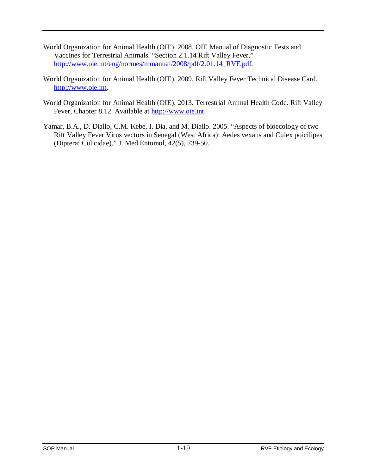- World Organization for Animal Health (OIE). 2008. OIE Manual of Diagnostic Tests and Vaccines for Terrestrial Animals. "Section 2.1.14 Rift Valley Fever." [http://www.oie.int/eng/normes/mmanual/2008/pdf/2.01.14\\_RVF.pdf.](http://www.oie.int/eng/normes/mmanual/2008/pdf/2.01.14_RVF.pdf)
- World Organization for Animal Health (OIE). 2009. Rift Valley Fever Technical Disease Card. [http://www.oie.int.](http://www.oie.int/)
- World Organization for Animal Health (OIE). 2013. Terrestrial Animal Health Code. Rift Valley Fever, Chapter 8.12. Available at [http://www.oie.int.](http://www.oie.int/)
- Yamar, B.A., D. Diallo, C.M. Kebe, I. Dia, and M. Diallo. 2005. "Aspects of bioecology of two Rift Valley Fever Virus vectors in Senegal (West Africa): Aedes vexans and Culex poicilipes (Diptera: Culicidae)." J. Med Entomol, 42(5), 739-50.